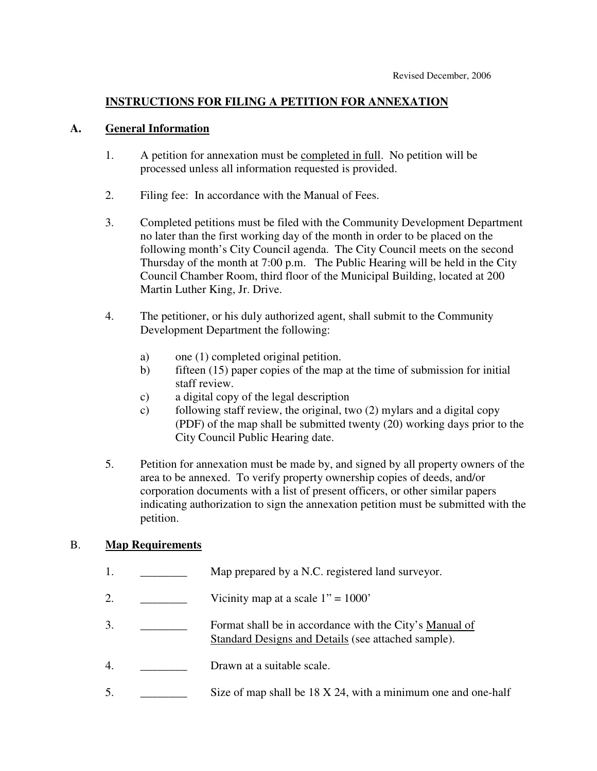## **INSTRUCTIONS FOR FILING A PETITION FOR ANNEXATION**

#### **A. General Information**

- 1. A petition for annexation must be <u>completed in full</u>. No petition will be processed unless all information requested is provided.
- 2. Filing fee: In accordance with the Manual of Fees.
- 3. Completed petitions must be filed with the Community Development Department no later than the first working day of the month in order to be placed on the following month's City Council agenda. The City Council meets on the second Thursday of the month at 7:00 p.m. The Public Hearing will be held in the City Council Chamber Room, third floor of the Municipal Building, located at 200 Martin Luther King, Jr. Drive.
- 4. The petitioner, or his duly authorized agent, shall submit to the Community Development Department the following:
	- a) one (1) completed original petition.
	- b) fifteen (15) paper copies of the map at the time of submission for initial staff review.
	- c) a digital copy of the legal description
	- c) following staff review, the original, two (2) mylars and a digital copy (PDF) of the map shall be submitted twenty (20) working days prior to the City Council Public Hearing date.
- 5. Petition for annexation must be made by, and signed by all property owners of the area to be annexed. To verify property ownership copies of deeds, and/or corporation documents with a list of present officers, or other similar papers indicating authorization to sign the annexation petition must be submitted with the petition.

### B. **Map Requirements**

1. \_\_\_\_\_\_\_\_\_\_\_ Map prepared by a N.C. registered land surveyor. 2.  $\frac{1}{2}$  Vicinity map at a scale  $1" = 1000"$ 3. \_\_\_\_\_\_\_\_\_\_\_\_ Format shall be in accordance with the City's Manual of Standard Designs and Details (see attached sample). 4. **Drawn at a suitable scale.** 5. Size of map shall be 18 X 24, with a minimum one and one-half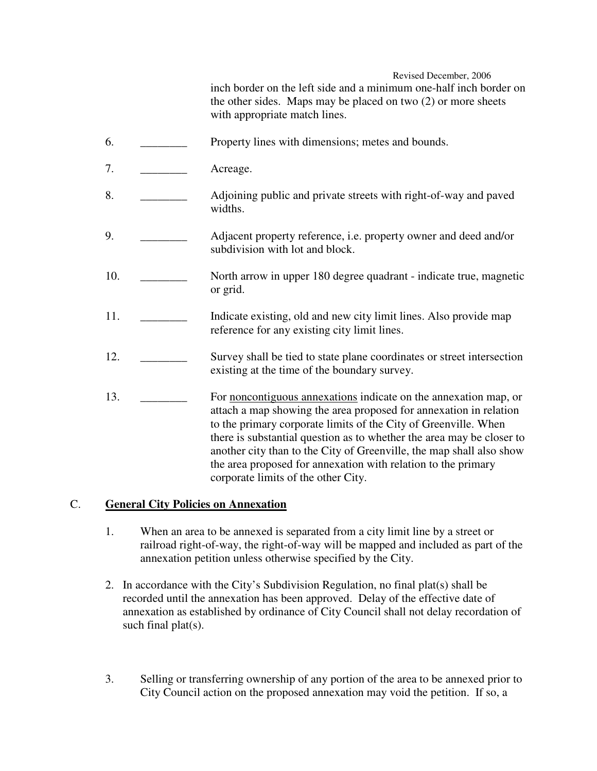Revised December, 2006

inch border on the left side and a minimum one-half inch border on the other sides. Maps may be placed on two (2) or more sheets with appropriate match lines.

- 6. Property lines with dimensions; metes and bounds.
- 7. Acreage.
- 8. Adjoining public and private streets with right-of-way and paved widths.
- 9. \_\_\_\_\_\_\_\_ Adjacent property reference, i.e. property owner and deed and/or subdivision with lot and block.
- 10. \_\_\_\_\_\_\_\_ North arrow in upper 180 degree quadrant indicate true, magnetic or grid.
- 11. Indicate existing, old and new city limit lines. Also provide map reference for any existing city limit lines.
- 12. \_\_\_\_\_\_\_\_ Survey shall be tied to state plane coordinates or street intersection existing at the time of the boundary survey.
- 13. \_\_\_\_\_\_\_\_ For noncontiguous annexations indicate on the annexation map, or attach a map showing the area proposed for annexation in relation to the primary corporate limits of the City of Greenville. When there is substantial question as to whether the area may be closer to another city than to the City of Greenville, the map shall also show the area proposed for annexation with relation to the primary corporate limits of the other City.

## C. **General City Policies on Annexation**

- 1. When an area to be annexed is separated from a city limit line by a street or railroad right-of-way, the right-of-way will be mapped and included as part of the annexation petition unless otherwise specified by the City.
- 2. In accordance with the City's Subdivision Regulation, no final plat(s) shall be recorded until the annexation has been approved. Delay of the effective date of annexation as established by ordinance of City Council shall not delay recordation of such final plat(s).
- 3. Selling or transferring ownership of any portion of the area to be annexed prior to City Council action on the proposed annexation may void the petition. If so, a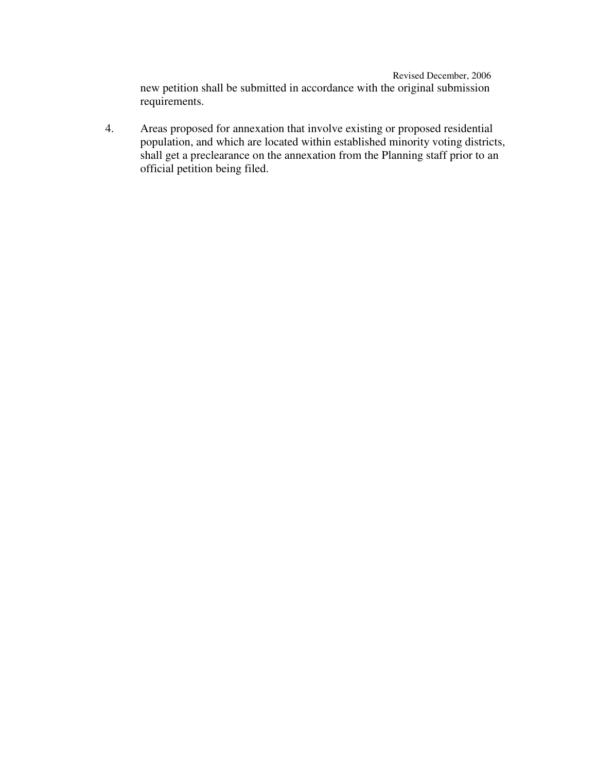Revised December, 2006 new petition shall be submitted in accordance with the original submission requirements.

4. Areas proposed for annexation that involve existing or proposed residential population, and which are located within established minority voting districts, shall get a preclearance on the annexation from the Planning staff prior to an official petition being filed.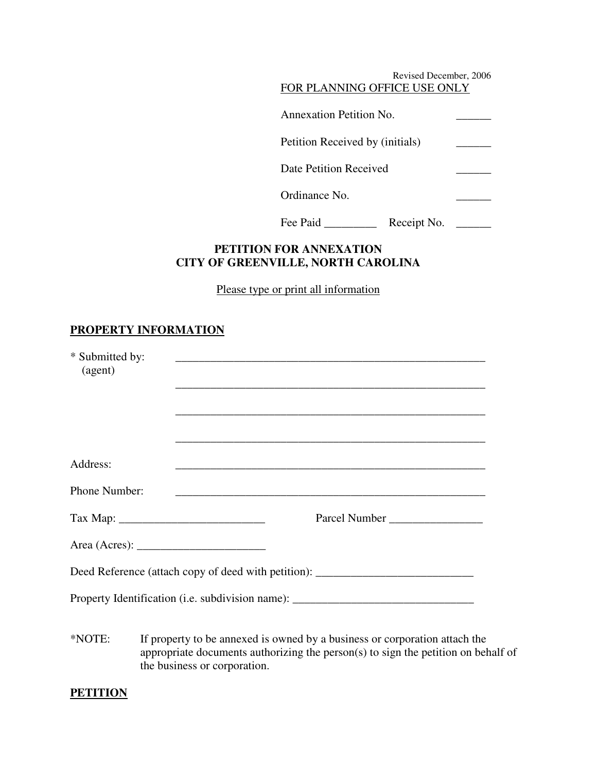| Revised December, 2006          |  |
|---------------------------------|--|
| FOR PLANNING OFFICE USE ONLY    |  |
| Annexation Petition No.         |  |
| Petition Received by (initials) |  |
| Date Petition Received          |  |
| Ordinance No.                   |  |
|                                 |  |
| Fee Paid<br>Receipt No.         |  |

## **PETITION FOR ANNEXATION CITY OF GREENVILLE, NORTH CAROLINA**

Please type or print all information

# **PROPERTY INFORMATION**

| * Submitted by:<br>(agent) | <u> 1989 - Johann Harry Harry Harry Harry Harry Harry Harry Harry Harry Harry Harry Harry Harry Harry Harry Harry</u>                                                                                                                     |
|----------------------------|-------------------------------------------------------------------------------------------------------------------------------------------------------------------------------------------------------------------------------------------|
| Address:                   | <u> 1989 - Johann Barn, amerikan berkema dalam berkema dalam berkema dalam berkema dalam berkema dalam berkema da</u><br>and the control of the control of the control of the control of the control of the control of the control of the |
| Phone Number:              |                                                                                                                                                                                                                                           |
|                            | Parcel Number                                                                                                                                                                                                                             |
|                            | Area (Acres): $\frac{1}{\sqrt{1-\frac{1}{2}} \cdot \frac{1}{2}}$                                                                                                                                                                          |
|                            | Deed Reference (attach copy of deed with petition): _____________________________                                                                                                                                                         |
|                            | Property Identification (i.e. subdivision name): _______________________________                                                                                                                                                          |
| *NOTE:                     | If property to be annexed is owned by a business or corporation attach the<br>appropriate documents authorizing the person(s) to sign the petition on behalf of<br>the business or corporation.                                           |

### **PETITION**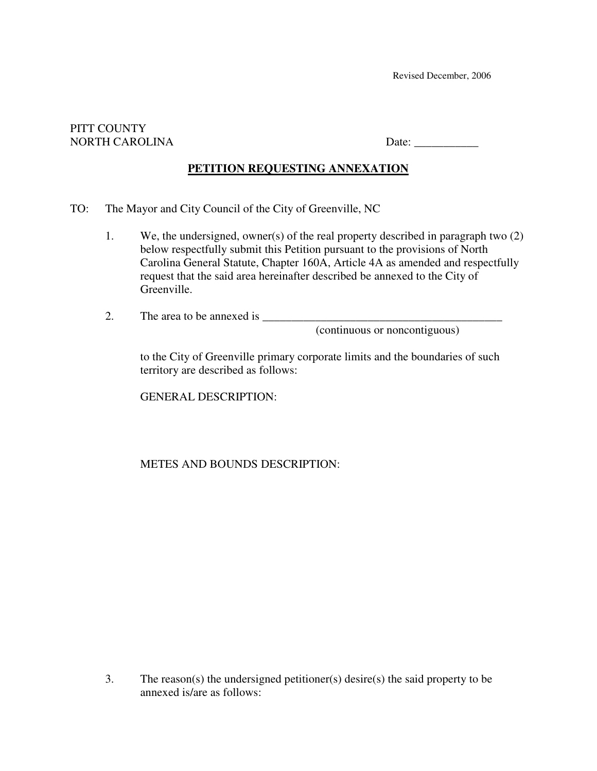#### PITT COUNTY NORTH CAROLINA Date:

# **PETITION REQUESTING ANNEXATION**

- TO: The Mayor and City Council of the City of Greenville, NC
	- 1. We, the undersigned, owner(s) of the real property described in paragraph two (2) below respectfully submit this Petition pursuant to the provisions of North Carolina General Statute, Chapter 160A, Article 4A as amended and respectfully request that the said area hereinafter described be annexed to the City of Greenville.
	- 2. The area to be annexed is \_\_\_\_\_\_\_\_\_\_\_\_\_\_\_\_\_\_\_\_\_\_\_\_\_\_\_\_\_\_\_\_\_\_\_\_\_\_\_\_\_

(continuous or noncontiguous)

to the City of Greenville primary corporate limits and the boundaries of such territory are described as follows:

GENERAL DESCRIPTION:

METES AND BOUNDS DESCRIPTION:

3. The reason(s) the undersigned petitioner(s) desire(s) the said property to be annexed is/are as follows: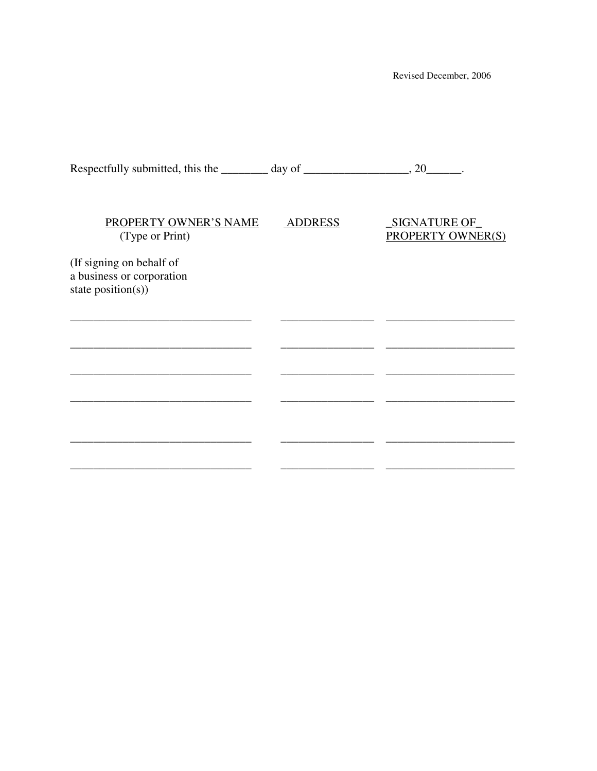Revised December, 2006

| Respectfully submitted, this the $\_\_\_\_$ day of $\_\_\_\_\_\_\_$ , 20 $\_\_\_\_\_$ . |                |                                                 |
|-----------------------------------------------------------------------------------------|----------------|-------------------------------------------------|
|                                                                                         |                |                                                 |
| PROPERTY OWNER'S NAME<br>(Type or Print)                                                | <b>ADDRESS</b> | <b>SIGNATURE OF</b><br><b>PROPERTY OWNER(S)</b> |
| (If signing on behalf of                                                                |                |                                                 |
| a business or corporation                                                               |                |                                                 |
| state $position(s)$ )                                                                   |                |                                                 |
|                                                                                         |                |                                                 |
|                                                                                         |                |                                                 |
|                                                                                         |                |                                                 |
|                                                                                         |                |                                                 |
|                                                                                         |                |                                                 |
|                                                                                         |                |                                                 |
|                                                                                         |                |                                                 |
|                                                                                         |                |                                                 |
|                                                                                         |                |                                                 |
|                                                                                         |                |                                                 |